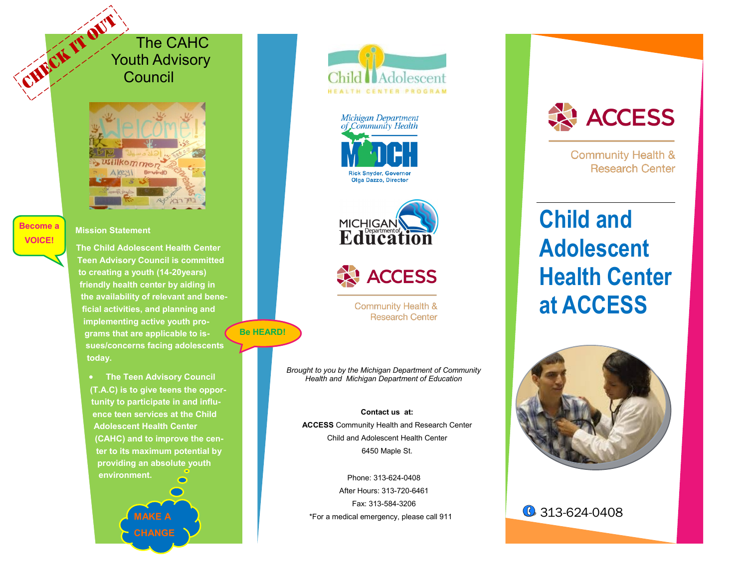The CAHC Youth Advisory **Council** CHECK IT ON



#### **Become a VOICE!**

**Mission Statement**

**The Child Adolescent Health Center Teen Advisory Council is committed to creating a youth (14-20years) friendly health center by aiding in the availability of relevant and beneficial activities, and planning and implementing active youth programs that are applicable to issues/concerns facing adolescents today.** 

**Be HEARD!** 

 **The Teen Advisory Council (T.A.C) is to give teens the opportunity to participate in and influence teen services at the Child Adolescent Health Center (CAHC) and to improve the center to its maximum potential by providing an absolute youth environment.** 

> **MAKE A CHANGE**







**AN ACCESS** 

**Community Health & Research Center** 

*Brought to you by the Michigan Department of Community Health and Michigan Department of Education*

**Contact us at: ACCESS** Community Health and Research Center Child and Adolescent Health Center 6450 Maple St.

Phone: 313-624-0408 After Hours: 313-720-6461 Fax: 313-584-3206 \*For a medical emergency, please call 911



**Community Health & Research Center** 

# **Child and Adolescent Health Center at ACCESS**



**6** 313-624-0408